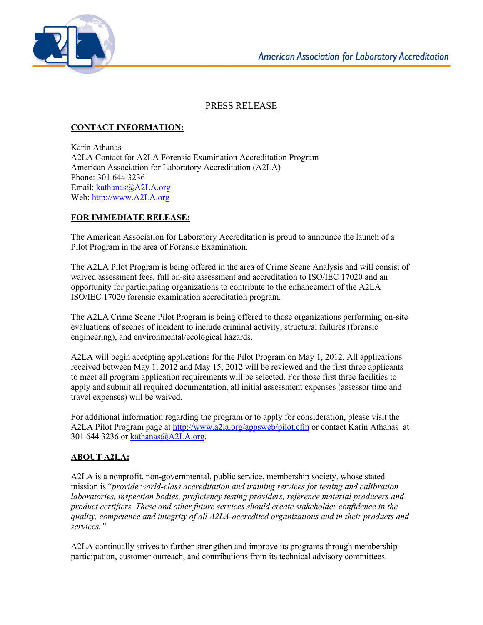

## PRESS RELEASE

## **CONTACT INFORMATION:**

Karin Athanas A2LA Contact for A2LA Forensic Examination Accreditation Program American Association for Laboratory Accreditation (A2LA) Phone: 301 644 3236 Email: kathanas@A2LA.org Web: http://www.A2LA.org

## **FOR IMMEDIATE RELEASE:**

The American Association for Laboratory Accreditation is proud to announce the launch of a Pilot Program in the area of Forensic Examination.

The A2LA Pilot Program is being offered in the area of Crime Scene Analysis and will consist of waived assessment fees, full on-site assessment and accreditation to ISO/IEC 17020 and an opportunity for participating organizations to contribute to the enhancement of the A2LA ISO/IEC 17020 forensic examination accreditation program.

The A2LA Crime Scene Pilot Program is being offered to those organizations performing on-site evaluations of scenes of incident to include criminal activity, structural failures (forensic engineering), and environmental/ecological hazards.

A2LA will begin accepting applications for the Pilot Program on May 1, 2012. All applications received between May 1, 2012 and May 15, 2012 will be reviewed and the first three applicants to meet all program application requirements will be selected. For those first three facilities to apply and submit all required documentation, all initial assessment expenses (assessor time and travel expenses) will be waived.

For additional information regarding the program or to apply for consideration, please visit the A2LA Pilot Program page at http://www.a2la.org/appsweb/pilot.cfm or contact Karin Athanas at 301 644 3236 or kathanas@A2LA.org.

## **ABOUT A2LA:**

A2LA is a nonprofit, non-governmental, public service, membership society, whose stated mission is "*provide world-class accreditation and training services for testing and calibration laboratories, inspection bodies, proficiency testing providers, reference material producers and product certifiers. These and other future services should create stakeholder confidence in the quality, competence and integrity of all A2LA-accredited organizations and in their products and services."* 

A2LA continually strives to further strengthen and improve its programs through membership participation, customer outreach, and contributions from its technical advisory committees.